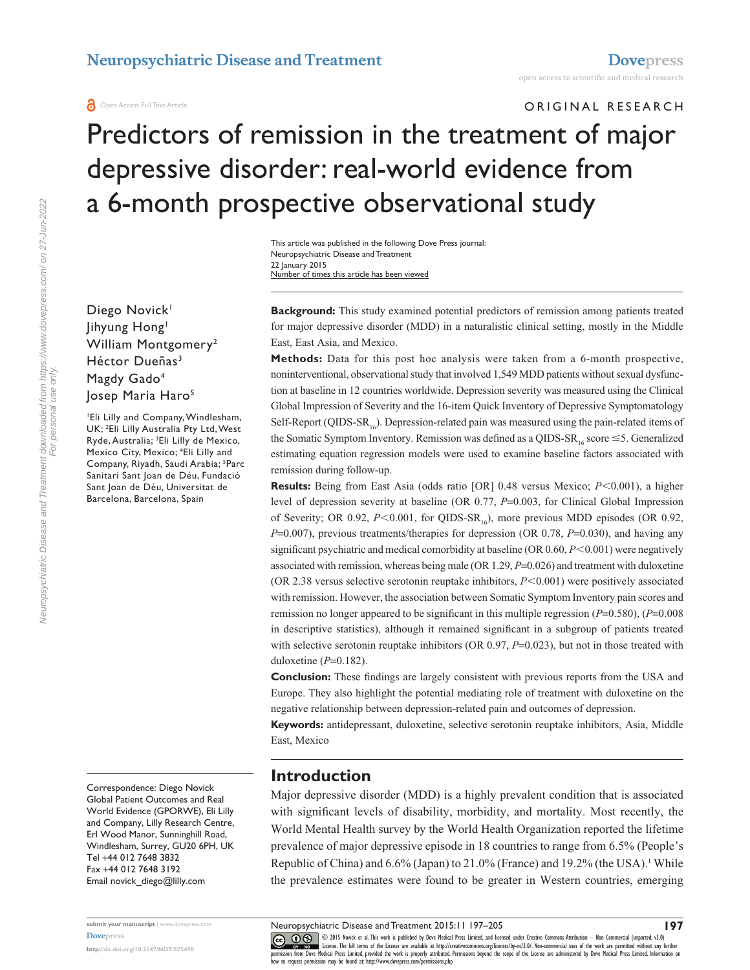### ORIGINAL RESEARCH

# Predictors of remission in the treatment of major depressive disorder: real-world evidence from a 6-month prospective observational study

This article was published in the following Dove Press journal: Neuropsychiatric Disease and Treatment 22 January 2015 Number of times this article has been viewed

Diego Novick<sup>1</sup> Jihyung Hong<sup>1</sup> William Montgomery<sup>2</sup> Héctor Dueñas<sup>3</sup> Magdy Gado<sup>4</sup> Josep Maria Haro<sup>5</sup>

1 Eli Lilly and Company, Windlesham, UK; 2 Eli Lilly Australia Pty Ltd, West Ryde, Australia; 3 Eli Lilly de Mexico, Mexico City, Mexico; 4 Eli Lilly and Company, Riyadh, Saudi Arabia; <sup>5</sup>Parc Sanitari Sant Joan de Déu, Fundació Sant Joan de Déu, Universitat de Barcelona, Barcelona, Spain

Correspondence: Diego Novick Global Patient Outcomes and Real World Evidence (GPORWE), Eli Lilly and Company, Lilly Research Centre, Erl Wood Manor, Sunninghill Road, Windlesham, Surrey, GU20 6PH, UK Tel +44 012 7648 3832 Fax +44 012 7648 3192 Email [novick\\_diego@lilly.com](mailto:novick_diego@lilly.com)

**submit your manuscript** | <www.dovepress.com> **[Dovepress](www.dovepress.com)**

**<http://dx.doi.org/10.2147/NDT.S75498>**

**Background:** This study examined potential predictors of remission among patients treated for major depressive disorder (MDD) in a naturalistic clinical setting, mostly in the Middle East, East Asia, and Mexico.

**Methods:** Data for this post hoc analysis were taken from a 6-month prospective, noninterventional, observational study that involved 1,549 MDD patients without sexual dysfunction at baseline in 12 countries worldwide. Depression severity was measured using the Clinical Global Impression of Severity and the 16-item Quick Inventory of Depressive Symptomatology Self-Report (QIDS-SR<sub>16</sub>). Depression-related pain was measured using the pain-related items of the Somatic Symptom Inventory. Remission was defined as a QIDS-SR<sub>16</sub> score  $\leq$ 5. Generalized estimating equation regression models were used to examine baseline factors associated with remission during follow-up.

**Results:** Being from East Asia (odds ratio [OR] 0.48 versus Mexico;  $P \le 0.001$ ), a higher level of depression severity at baseline (OR 0.77, *P*=0.003, for Clinical Global Impression of Severity; OR 0.92,  $P<0.001$ , for QIDS-SR<sub>16</sub>), more previous MDD episodes (OR 0.92, *P*=0.007), previous treatments/therapies for depression (OR 0.78, *P*=0.030), and having any significant psychiatric and medical comorbidity at baseline (OR  $0.60$ ,  $P<0.001$ ) were negatively associated with remission, whereas being male (OR 1.29, *P*=0.026) and treatment with duloxetine (OR 2.38 versus selective serotonin reuptake inhibitors,  $P<0.001$ ) were positively associated with remission. However, the association between Somatic Symptom Inventory pain scores and remission no longer appeared to be significant in this multiple regression (*P*=0.580), (*P*=0.008 in descriptive statistics), although it remained significant in a subgroup of patients treated with selective serotonin reuptake inhibitors (OR 0.97,  $P=0.023$ ), but not in those treated with duloxetine (*P*=0.182).

**Conclusion:** These findings are largely consistent with previous reports from the USA and Europe. They also highlight the potential mediating role of treatment with duloxetine on the negative relationship between depression-related pain and outcomes of depression.

**Keywords:** antidepressant, duloxetine, selective serotonin reuptake inhibitors, Asia, Middle East, Mexico

#### **Introduction**

Major depressive disorder (MDD) is a highly prevalent condition that is associated with significant levels of disability, morbidity, and mortality. Most recently, the World Mental Health survey by the World Health Organization reported the lifetime prevalence of major depressive episode in 18 countries to range from 6.5% (People's Republic of China) and  $6.6\%$  (Japan) to  $21.0\%$  (France) and  $19.2\%$  (the USA).<sup>1</sup> While the prevalence estimates were found to be greater in Western countries, emerging

CO ODIS Novick et al. This work is published by Dove Medical Press Limited, and licensed under Creative Commons Attribution — Non Commercial (unported, v3.0)<br> [permission from Dove M](http://www.dovepress.com/permissions.php)edical Press Limited, provided the work i

how to request permission may be found at: http://www.dovepress.com/permissions.php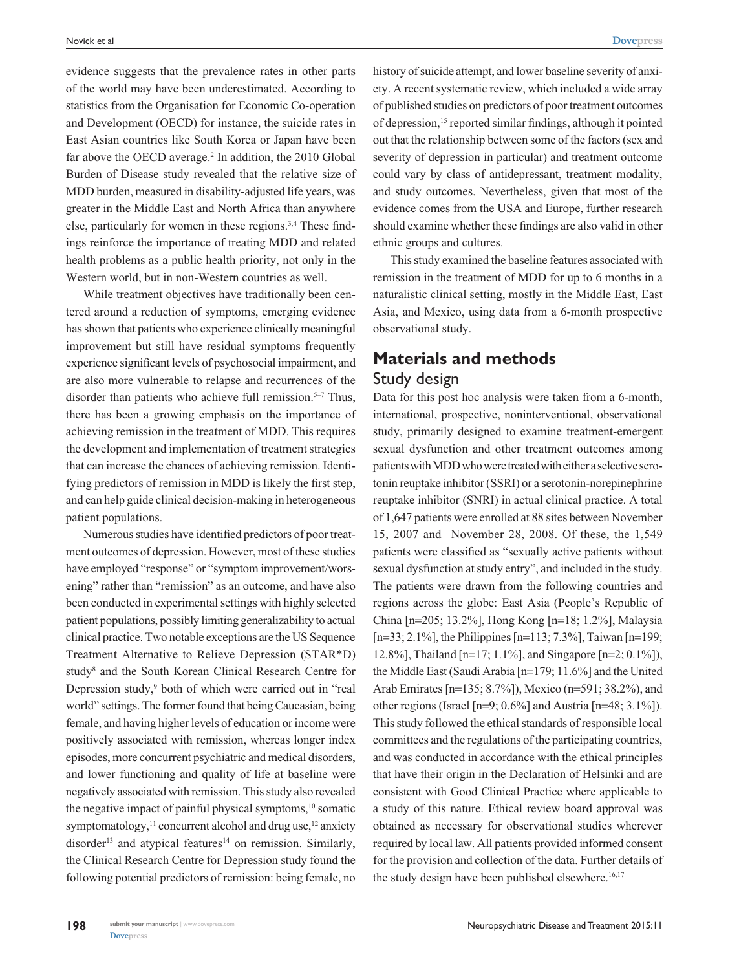evidence suggests that the prevalence rates in other parts of the world may have been underestimated. According to statistics from the Organisation for Economic Co-operation and Development (OECD) for instance, the suicide rates in East Asian countries like South Korea or Japan have been far above the OECD average.<sup>2</sup> In addition, the 2010 Global Burden of Disease study revealed that the relative size of MDD burden, measured in disability-adjusted life years, was greater in the Middle East and North Africa than anywhere else, particularly for women in these regions.<sup>3,4</sup> These findings reinforce the importance of treating MDD and related health problems as a public health priority, not only in the Western world, but in non-Western countries as well.

While treatment objectives have traditionally been centered around a reduction of symptoms, emerging evidence has shown that patients who experience clinically meaningful improvement but still have residual symptoms frequently experience significant levels of psychosocial impairment, and are also more vulnerable to relapse and recurrences of the disorder than patients who achieve full remission.<sup>5-7</sup> Thus, there has been a growing emphasis on the importance of achieving remission in the treatment of MDD. This requires the development and implementation of treatment strategies that can increase the chances of achieving remission. Identifying predictors of remission in MDD is likely the first step, and can help guide clinical decision-making in heterogeneous patient populations.

Numerous studies have identified predictors of poor treatment outcomes of depression. However, most of these studies have employed "response" or "symptom improvement/worsening" rather than "remission" as an outcome, and have also been conducted in experimental settings with highly selected patient populations, possibly limiting generalizability to actual clinical practice. Two notable exceptions are the US Sequence Treatment Alternative to Relieve Depression (STAR\*D) study<sup>8</sup> and the South Korean Clinical Research Centre for Depression study,<sup>9</sup> both of which were carried out in "real world" settings. The former found that being Caucasian, being female, and having higher levels of education or income were positively associated with remission, whereas longer index episodes, more concurrent psychiatric and medical disorders, and lower functioning and quality of life at baseline were negatively associated with remission. This study also revealed the negative impact of painful physical symptoms,<sup>10</sup> somatic symptomatology, $^{11}$  concurrent alcohol and drug use, $^{12}$  anxiety disorder<sup>13</sup> and atypical features<sup>14</sup> on remission. Similarly, the Clinical Research Centre for Depression study found the following potential predictors of remission: being female, no

history of suicide attempt, and lower baseline severity of anxiety. A recent systematic review, which included a wide array of published studies on predictors of poor treatment outcomes of depression,15 reported similar findings, although it pointed out that the relationship between some of the factors (sex and severity of depression in particular) and treatment outcome could vary by class of antidepressant, treatment modality, and study outcomes. Nevertheless, given that most of the evidence comes from the USA and Europe, further research should examine whether these findings are also valid in other ethnic groups and cultures.

This study examined the baseline features associated with remission in the treatment of MDD for up to 6 months in a naturalistic clinical setting, mostly in the Middle East, East Asia, and Mexico, using data from a 6-month prospective observational study.

# **Materials and methods** Study design

Data for this post hoc analysis were taken from a 6-month, international, prospective, noninterventional, observational study, primarily designed to examine treatment-emergent sexual dysfunction and other treatment outcomes among patients with MDD who were treated with either a selective serotonin reuptake inhibitor (SSRI) or a serotonin-norepinephrine reuptake inhibitor (SNRI) in actual clinical practice. A total of 1,647 patients were enrolled at 88 sites between November 15, 2007 and November 28, 2008. Of these, the 1,549 patients were classified as "sexually active patients without sexual dysfunction at study entry", and included in the study. The patients were drawn from the following countries and regions across the globe: East Asia (People's Republic of China [n=205; 13.2%], Hong Kong [n=18; 1.2%], Malaysia [n=33; 2.1%], the Philippines [n=113; 7.3%], Taiwan [n=199; 12.8%], Thailand [n=17; 1.1%], and Singapore [n=2; 0.1%]), the Middle East (Saudi Arabia [n=179; 11.6%] and the United Arab Emirates [n=135; 8.7%]), Mexico (n=591; 38.2%), and other regions (Israel [n=9; 0.6%] and Austria [n=48; 3.1%]). This study followed the ethical standards of responsible local committees and the regulations of the participating countries, and was conducted in accordance with the ethical principles that have their origin in the Declaration of Helsinki and are consistent with Good Clinical Practice where applicable to a study of this nature. Ethical review board approval was obtained as necessary for observational studies wherever required by local law. All patients provided informed consent for the provision and collection of the data. Further details of the study design have been published elsewhere.<sup>16,17</sup>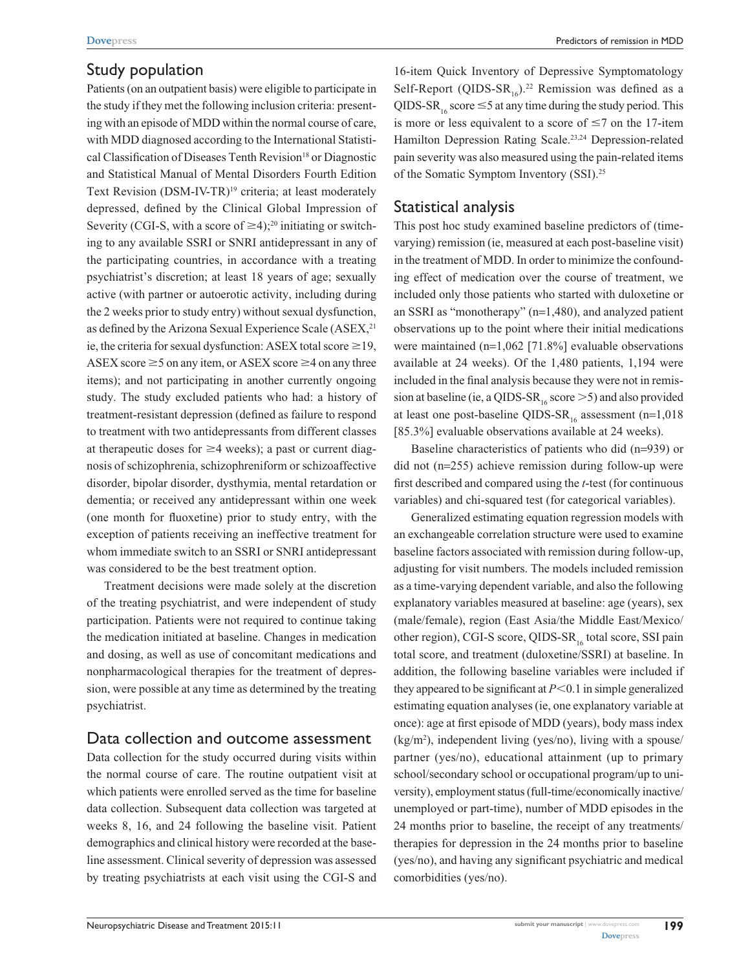# Study population

Patients (on an outpatient basis) were eligible to participate in the study if they met the following inclusion criteria: presenting with an episode of MDD within the normal course of care, with MDD diagnosed according to the International Statistical Classification of Diseases Tenth Revision<sup>18</sup> or Diagnostic and Statistical Manual of Mental Disorders Fourth Edition Text Revision (DSM-IV-TR)<sup>19</sup> criteria; at least moderately depressed, defined by the Clinical Global Impression of Severity (CGI-S, with a score of  $\geq 4$ );<sup>20</sup> initiating or switching to any available SSRI or SNRI antidepressant in any of the participating countries, in accordance with a treating psychiatrist's discretion; at least 18 years of age; sexually active (with partner or autoerotic activity, including during the 2 weeks prior to study entry) without sexual dysfunction, as defined by the Arizona Sexual Experience Scale (ASEX,<sup>21</sup>) ie, the criteria for sexual dysfunction: ASEX total score  $\geq$  19, ASEX score  $\geq$  5 on any item, or ASEX score  $\geq$  4 on any three items); and not participating in another currently ongoing study. The study excluded patients who had: a history of treatment-resistant depression (defined as failure to respond to treatment with two antidepressants from different classes at therapeutic doses for  $\geq$ 4 weeks); a past or current diagnosis of schizophrenia, schizophreniform or schizoaffective disorder, bipolar disorder, dysthymia, mental retardation or dementia; or received any antidepressant within one week (one month for fluoxetine) prior to study entry, with the exception of patients receiving an ineffective treatment for whom immediate switch to an SSRI or SNRI antidepressant was considered to be the best treatment option.

Treatment decisions were made solely at the discretion of the treating psychiatrist, and were independent of study participation. Patients were not required to continue taking the medication initiated at baseline. Changes in medication and dosing, as well as use of concomitant medications and nonpharmacological therapies for the treatment of depression, were possible at any time as determined by the treating psychiatrist.

## Data collection and outcome assessment

Data collection for the study occurred during visits within the normal course of care. The routine outpatient visit at which patients were enrolled served as the time for baseline data collection. Subsequent data collection was targeted at weeks 8, 16, and 24 following the baseline visit. Patient demographics and clinical history were recorded at the baseline assessment. Clinical severity of depression was assessed by treating psychiatrists at each visit using the CGI-S and

16-item Quick Inventory of Depressive Symptomatology Self-Report (QIDS-SR<sub>16</sub>).<sup>22</sup> Remission was defined as a QIDS-SR<sub>16</sub> score  $\leq$  5 at any time during the study period. This is more or less equivalent to a score of  $\leq 7$  on the 17-item Hamilton Depression Rating Scale.23,24 Depression-related pain severity was also measured using the pain-related items of the Somatic Symptom Inventory (SSI).25

# Statistical analysis

This post hoc study examined baseline predictors of (timevarying) remission (ie, measured at each post-baseline visit) in the treatment of MDD. In order to minimize the confounding effect of medication over the course of treatment, we included only those patients who started with duloxetine or an SSRI as "monotherapy" (n=1,480), and analyzed patient observations up to the point where their initial medications were maintained (n=1,062 [71.8%] evaluable observations available at 24 weeks). Of the 1,480 patients, 1,194 were included in the final analysis because they were not in remission at baseline (ie, a QIDS-SR<sub>16</sub> score  $>$  5) and also provided at least one post-baseline QIDS-SR<sub>16</sub> assessment (n=1,018) [85.3%] evaluable observations available at 24 weeks).

Baseline characteristics of patients who did (n=939) or did not (n=255) achieve remission during follow-up were first described and compared using the *t*-test (for continuous variables) and chi-squared test (for categorical variables).

Generalized estimating equation regression models with an exchangeable correlation structure were used to examine baseline factors associated with remission during follow-up, adjusting for visit numbers. The models included remission as a time-varying dependent variable, and also the following explanatory variables measured at baseline: age (years), sex (male/female), region (East Asia/the Middle East/Mexico/ other region), CGI-S score, QIDS-SR<sub>16</sub> total score, SSI pain total score, and treatment (duloxetine/SSRI) at baseline. In addition, the following baseline variables were included if they appeared to be significant at  $P<0.1$  in simple generalized estimating equation analyses (ie, one explanatory variable at once): age at first episode of MDD (years), body mass index (kg/m2 ), independent living (yes/no), living with a spouse/ partner (yes/no), educational attainment (up to primary school/secondary school or occupational program/up to university), employment status (full-time/economically inactive/ unemployed or part-time), number of MDD episodes in the 24 months prior to baseline, the receipt of any treatments/ therapies for depression in the 24 months prior to baseline (yes/no), and having any significant psychiatric and medical comorbidities (yes/no).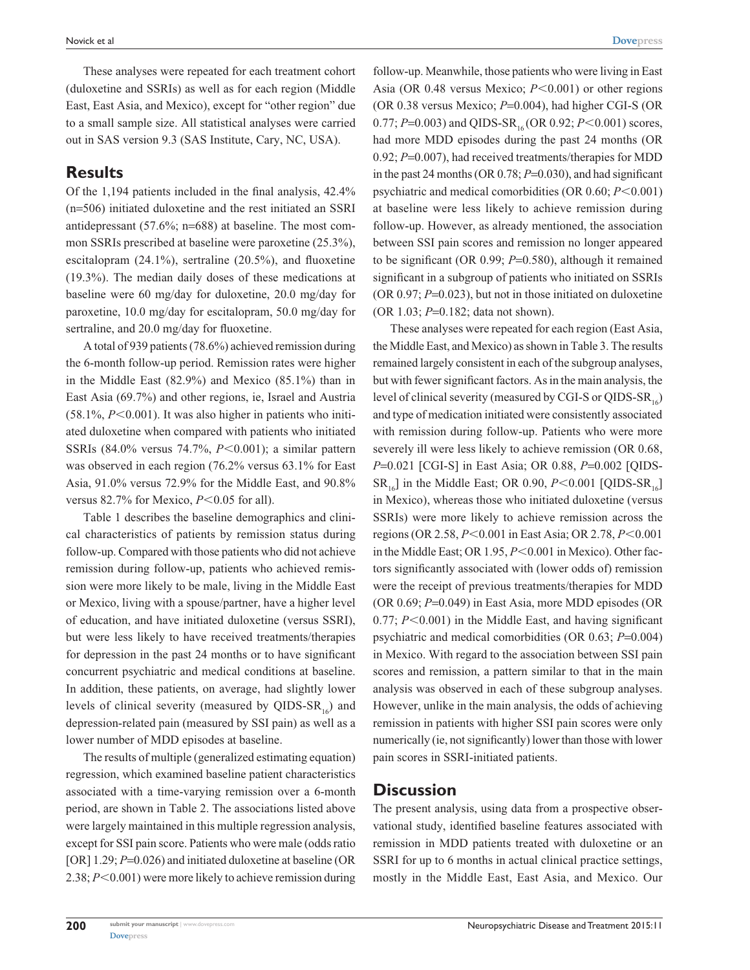These analyses were repeated for each treatment cohort (duloxetine and SSRIs) as well as for each region (Middle East, East Asia, and Mexico), except for "other region" due to a small sample size. All statistical analyses were carried out in SAS version 9.3 (SAS Institute, Cary, NC, USA).

#### **Results**

Of the 1,194 patients included in the final analysis, 42.4% (n=506) initiated duloxetine and the rest initiated an SSRI antidepressant (57.6%; n=688) at baseline. The most common SSRIs prescribed at baseline were paroxetine (25.3%), escitalopram (24.1%), sertraline (20.5%), and fluoxetine (19.3%). The median daily doses of these medications at baseline were 60 mg/day for duloxetine, 20.0 mg/day for paroxetine, 10.0 mg/day for escitalopram, 50.0 mg/day for sertraline, and 20.0 mg/day for fluoxetine.

A total of 939 patients (78.6%) achieved remission during the 6-month follow-up period. Remission rates were higher in the Middle East (82.9%) and Mexico (85.1%) than in East Asia (69.7%) and other regions, ie, Israel and Austria  $(58.1\%, P<0.001)$ . It was also higher in patients who initiated duloxetine when compared with patients who initiated SSRIs (84.0% versus 74.7%, *P*<0.001); a similar pattern was observed in each region (76.2% versus 63.1% for East Asia, 91.0% versus 72.9% for the Middle East, and 90.8% versus 82.7% for Mexico,  $P<0.05$  for all).

Table 1 describes the baseline demographics and clinical characteristics of patients by remission status during follow-up. Compared with those patients who did not achieve remission during follow-up, patients who achieved remission were more likely to be male, living in the Middle East or Mexico, living with a spouse/partner, have a higher level of education, and have initiated duloxetine (versus SSRI), but were less likely to have received treatments/therapies for depression in the past 24 months or to have significant concurrent psychiatric and medical conditions at baseline. In addition, these patients, on average, had slightly lower levels of clinical severity (measured by QIDS-SR<sub>16</sub>) and depression-related pain (measured by SSI pain) as well as a lower number of MDD episodes at baseline.

The results of multiple (generalized estimating equation) regression, which examined baseline patient characteristics associated with a time-varying remission over a 6-month period, are shown in Table 2. The associations listed above were largely maintained in this multiple regression analysis, except for SSI pain score. Patients who were male (odds ratio [OR] 1.29; *P*=0.026) and initiated duloxetine at baseline (OR 2.38;  $P<0.001$ ) were more likely to achieve remission during

follow-up. Meanwhile, those patients who were living in East Asia (OR 0.48 versus Mexico;  $P<0.001$ ) or other regions (OR 0.38 versus Mexico; *P*=0.004), had higher CGI-S (OR 0.77;  $P=0.003$ ) and QIDS-SR<sub>16</sub> (OR 0.92;  $P<0.001$ ) scores, had more MDD episodes during the past 24 months (OR 0.92; *P*=0.007), had received treatments/therapies for MDD in the past 24 months (OR 0.78; *P*=0.030), and had significant psychiatric and medical comorbidities (OR 0.60; *P*<0.001) at baseline were less likely to achieve remission during follow-up. However, as already mentioned, the association between SSI pain scores and remission no longer appeared to be significant (OR 0.99; *P*=0.580), although it remained significant in a subgroup of patients who initiated on SSRIs (OR 0.97; *P*=0.023), but not in those initiated on duloxetine (OR 1.03; *P*=0.182; data not shown).

These analyses were repeated for each region (East Asia, the Middle East, and Mexico) as shown in Table 3. The results remained largely consistent in each of the subgroup analyses, but with fewer significant factors. As in the main analysis, the level of clinical severity (measured by CGI-S or QIDS-SR<sub>16</sub>) and type of medication initiated were consistently associated with remission during follow-up. Patients who were more severely ill were less likely to achieve remission (OR 0.68, *P*=0.021 [CGI-S] in East Asia; OR 0.88, *P*=0.002 [QIDS- $SR_{16}$ ] in the Middle East; OR 0.90,  $P \le 0.001$  [QIDS-SR<sub>16</sub>] in Mexico), whereas those who initiated duloxetine (versus SSRIs) were more likely to achieve remission across the regions (OR 2.58, *P*<0.001 in East Asia; OR 2.78, *P*<0.001 in the Middle East; OR 1.95, *P*<0.001 in Mexico). Other factors significantly associated with (lower odds of) remission were the receipt of previous treatments/therapies for MDD (OR 0.69; *P*=0.049) in East Asia, more MDD episodes (OR  $0.77$ ;  $P<0.001$ ) in the Middle East, and having significant psychiatric and medical comorbidities (OR 0.63; *P*=0.004) in Mexico. With regard to the association between SSI pain scores and remission, a pattern similar to that in the main analysis was observed in each of these subgroup analyses. However, unlike in the main analysis, the odds of achieving remission in patients with higher SSI pain scores were only numerically (ie, not significantly) lower than those with lower pain scores in SSRI-initiated patients.

#### **Discussion**

The present analysis, using data from a prospective observational study, identified baseline features associated with remission in MDD patients treated with duloxetine or an SSRI for up to 6 months in actual clinical practice settings, mostly in the Middle East, East Asia, and Mexico. Our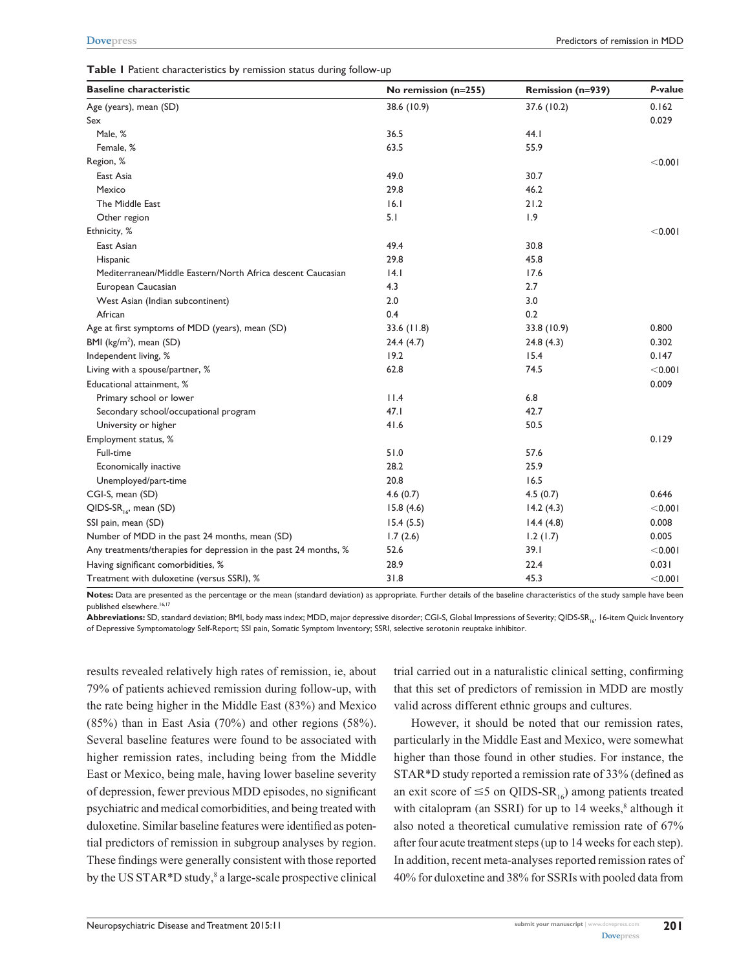| <b>Baseline characteristic</b>                                   | No remission $(n=255)$ | Remission (n=939) | P-value    |
|------------------------------------------------------------------|------------------------|-------------------|------------|
| Age (years), mean (SD)                                           | 38.6 (10.9)            | 37.6 (10.2)       | 0.162      |
| Sex                                                              |                        |                   | 0.029      |
| Male, %                                                          | 36.5                   | 44.1              |            |
| Female, %                                                        | 63.5                   | 55.9              |            |
| Region, %                                                        |                        |                   | < 0.001    |
| East Asia                                                        | 49.0                   | 30.7              |            |
| Mexico                                                           | 29.8                   | 46.2              |            |
| The Middle East                                                  | 6.1                    | 21.2              |            |
| Other region                                                     | 5.1                    | 1.9               |            |
| Ethnicity, %                                                     |                        |                   | < 0.001    |
| East Asian                                                       | 49.4                   | 30.8              |            |
| Hispanic                                                         | 29.8                   | 45.8              |            |
| Mediterranean/Middle Eastern/North Africa descent Caucasian      | 4.1                    | 17.6              |            |
| European Caucasian                                               | 4.3                    | 2.7               |            |
| West Asian (Indian subcontinent)                                 | 2.0                    | 3.0               |            |
| African                                                          | 0.4                    | 0.2               |            |
| Age at first symptoms of MDD (years), mean (SD)                  | 33.6(11.8)             | 33.8 (10.9)       | 0.800      |
| BMI (kg/m <sup>2</sup> ), mean (SD)                              | 24.4(4.7)              | 24.8(4.3)         | 0.302      |
| Independent living, %                                            | 19.2                   | 15.4              | 0.147      |
| Living with a spouse/partner, %                                  | 62.8                   | 74.5              | $<$ 0.00 l |
| Educational attainment, %                                        |                        |                   | 0.009      |
| Primary school or lower                                          | 11.4                   | 6.8               |            |
| Secondary school/occupational program                            | 47.1                   | 42.7              |            |
| University or higher                                             | 41.6                   | 50.5              |            |
| Employment status, %                                             |                        |                   | 0.129      |
| Full-time                                                        | 51.0                   | 57.6              |            |
| Economically inactive                                            | 28.2                   | 25.9              |            |
| Unemployed/part-time                                             | 20.8                   | 16.5              |            |
| CGI-S, mean (SD)                                                 | 4.6(0.7)               | 4.5(0.7)          | 0.646      |
| QIDS-SR <sub>16</sub> , mean (SD)                                | 15.8(4.6)              | 14.2(4.3)         | < 0.001    |
| SSI pain, mean (SD)                                              | 15.4(5.5)              | 14.4(4.8)         | 0.008      |
| Number of MDD in the past 24 months, mean (SD)                   | 1.7(2.6)               | 1.2(1.7)          | 0.005      |
| Any treatments/therapies for depression in the past 24 months, % | 52.6                   | 39.1              | < 0.001    |
| Having significant comorbidities, %                              | 28.9                   | 22.4              | 0.031      |
| Treatment with duloxetine (versus SSRI), %                       | 31.8                   | 45.3              | < 0.001    |

**Notes:** Data are presented as the percentage or the mean (standard deviation) as appropriate. Further details of the baseline characteristics of the study sample have been published elsewhere.<sup>16,17</sup>

Abbreviations: SD, standard deviation; BMI, body mass index; MDD, major depressive disorder; CGI-S, Global Impressions of Severity; QIDS-SR<sub>16</sub>, 16-item Quick Inventory of Depressive Symptomatology Self-Report; SSI pain, Somatic Symptom Inventory; SSRI, selective serotonin reuptake inhibitor.

results revealed relatively high rates of remission, ie, about 79% of patients achieved remission during follow-up, with the rate being higher in the Middle East (83%) and Mexico (85%) than in East Asia (70%) and other regions (58%). Several baseline features were found to be associated with higher remission rates, including being from the Middle East or Mexico, being male, having lower baseline severity of depression, fewer previous MDD episodes, no significant psychiatric and medical comorbidities, and being treated with duloxetine. Similar baseline features were identified as potential predictors of remission in subgroup analyses by region. These findings were generally consistent with those reported by the US STAR\*D study,<sup>8</sup> a large-scale prospective clinical trial carried out in a naturalistic clinical setting, confirming that this set of predictors of remission in MDD are mostly valid across different ethnic groups and cultures.

However, it should be noted that our remission rates, particularly in the Middle East and Mexico, were somewhat higher than those found in other studies. For instance, the STAR\*D study reported a remission rate of 33% (defined as an exit score of  $\leq$ 5 on QIDS-SR<sub>16</sub>) among patients treated with citalopram (an SSRI) for up to  $14$  weeks, $8$  although it also noted a theoretical cumulative remission rate of 67% after four acute treatment steps (up to 14 weeks for each step). In addition, recent meta-analyses reported remission rates of 40% for duloxetine and 38% for SSRIs with pooled data from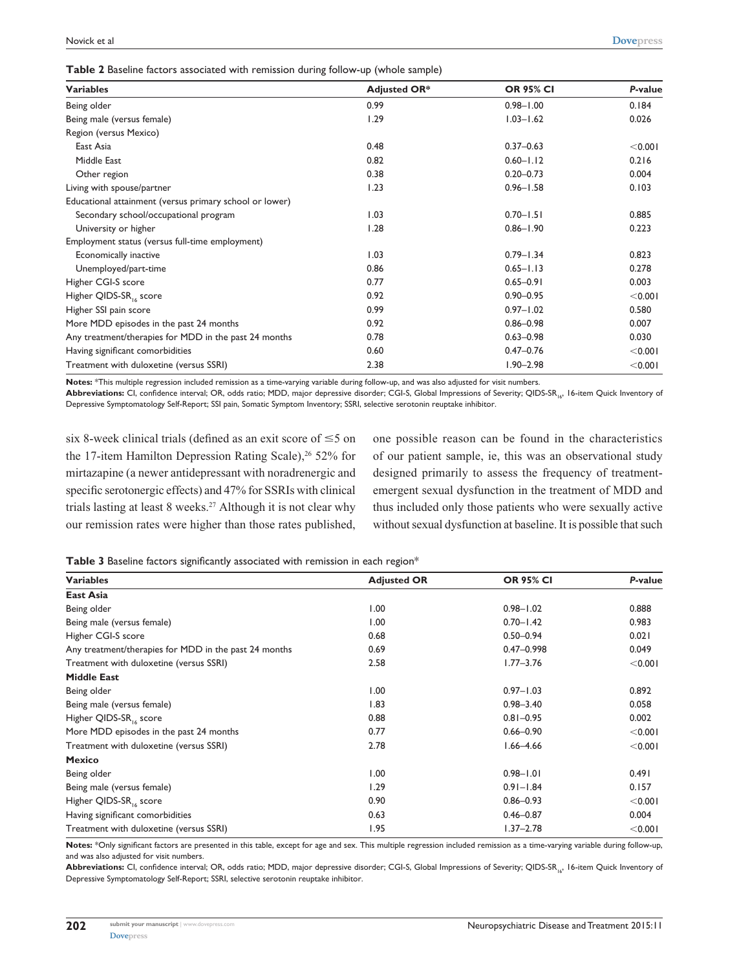|  |  |  | Table 2 Baseline factors associated with remission during follow-up (whole sample) |  |  |  |  |  |  |
|--|--|--|------------------------------------------------------------------------------------|--|--|--|--|--|--|
|--|--|--|------------------------------------------------------------------------------------|--|--|--|--|--|--|

| <b>Variables</b>                                        | <b>Adjusted OR*</b> | <b>OR 95% CI</b> | P-value |
|---------------------------------------------------------|---------------------|------------------|---------|
| Being older                                             | 0.99                | $0.98 - 1.00$    | 0.184   |
| Being male (versus female)                              | 1.29                | $1.03 - 1.62$    | 0.026   |
| Region (versus Mexico)                                  |                     |                  |         |
| East Asia                                               | 0.48                | $0.37 - 0.63$    | < 0.001 |
| Middle East                                             | 0.82                | $0.60 - 1.12$    | 0.216   |
| Other region                                            | 0.38                | $0.20 - 0.73$    | 0.004   |
| Living with spouse/partner                              | 1.23                | $0.96 - 1.58$    | 0.103   |
| Educational attainment (versus primary school or lower) |                     |                  |         |
| Secondary school/occupational program                   | 1.03                | $0.70 - 1.51$    | 0.885   |
| University or higher                                    | 1.28                | $0.86 - 1.90$    | 0.223   |
| Employment status (versus full-time employment)         |                     |                  |         |
| Economically inactive                                   | 1.03                | $0.79 - 1.34$    | 0.823   |
| Unemployed/part-time                                    | 0.86                | $0.65 - 1.13$    | 0.278   |
| Higher CGI-S score                                      | 0.77                | $0.65 - 0.91$    | 0.003   |
| Higher QIDS-SR <sub>16</sub> score                      | 0.92                | $0.90 - 0.95$    | < 0.001 |
| Higher SSI pain score                                   | 0.99                | $0.97 - 1.02$    | 0.580   |
| More MDD episodes in the past 24 months                 | 0.92                | $0.86 - 0.98$    | 0.007   |
| Any treatment/therapies for MDD in the past 24 months   | 0.78                | $0.63 - 0.98$    | 0.030   |
| Having significant comorbidities                        | 0.60                | $0.47 - 0.76$    | < 0.001 |
| Treatment with duloxetine (versus SSRI)                 | 2.38                | $1.90 - 2.98$    | < 0.001 |

**Notes:** \*This multiple regression included remission as a time-varying variable during follow-up, and was also adjusted for visit numbers.

Abbreviations: CI, confidence interval; OR, odds ratio; MDD, major depressive disorder; CGI-S, Global Impressions of Severity; QIDS-SR<sub>16</sub>, 16-item Quick Inventory of Depressive Symptomatology Self-Report; SSI pain, Somatic Symptom Inventory; SSRI, selective serotonin reuptake inhibitor.

six 8-week clinical trials (defined as an exit score of  $\leq$  5 on the 17-item Hamilton Depression Rating Scale), $26$  52% for mirtazapine (a newer antidepressant with noradrenergic and specific serotonergic effects) and 47% for SSRIs with clinical trials lasting at least 8 weeks.<sup>27</sup> Although it is not clear why our remission rates were higher than those rates published,

one possible reason can be found in the characteristics of our patient sample, ie, this was an observational study designed primarily to assess the frequency of treatmentemergent sexual dysfunction in the treatment of MDD and thus included only those patients who were sexually active without sexual dysfunction at baseline. It is possible that such

| Table 3 Baseline factors significantly associated with remission in each region* |  |  |  |
|----------------------------------------------------------------------------------|--|--|--|
|----------------------------------------------------------------------------------|--|--|--|

| abie o Basenne iaccors signification associated with remission in each region |                    |                  |         |  |
|-------------------------------------------------------------------------------|--------------------|------------------|---------|--|
| <b>Variables</b>                                                              | <b>Adjusted OR</b> | <b>OR 95% CI</b> | P-value |  |
| <b>East Asia</b>                                                              |                    |                  |         |  |
| Being older                                                                   | 1.00               | $0.98 - 1.02$    | 0.888   |  |
| Being male (versus female)                                                    | 1.00               | $0.70 - 1.42$    | 0.983   |  |
| Higher CGI-S score                                                            | 0.68               | $0.50 - 0.94$    | 0.021   |  |
| Any treatment/therapies for MDD in the past 24 months                         | 0.69               | $0.47 - 0.998$   | 0.049   |  |
| Treatment with duloxetine (versus SSRI)                                       | 2.58               | $1.77 - 3.76$    | < 0.001 |  |
| <b>Middle East</b>                                                            |                    |                  |         |  |
| Being older                                                                   | 1.00               | $0.97 - 1.03$    | 0.892   |  |
| Being male (versus female)                                                    | 1.83               | $0.98 - 3.40$    | 0.058   |  |
| Higher QIDS-SR <sub>14</sub> score                                            | 0.88               | $0.81 - 0.95$    | 0.002   |  |
| More MDD episodes in the past 24 months                                       | 0.77               | $0.66 - 0.90$    | < 0.001 |  |
| Treatment with duloxetine (versus SSRI)                                       | 2.78               | $1.66 - 4.66$    | < 0.001 |  |
| <b>Mexico</b>                                                                 |                    |                  |         |  |
| Being older                                                                   | 1.00               | $0.98 - 1.01$    | 0.491   |  |
| Being male (versus female)                                                    | 1.29               | $0.91 - 1.84$    | 0.157   |  |
| Higher QIDS-SR <sub>14</sub> score                                            | 0.90               | $0.86 - 0.93$    | < 0.001 |  |
| Having significant comorbidities                                              | 0.63               | $0.46 - 0.87$    | 0.004   |  |
| Treatment with duloxetine (versus SSRI)                                       | 1.95               | $1.37 - 2.78$    | < 0.001 |  |
|                                                                               |                    |                  |         |  |

**Notes:** \*Only significant factors are presented in this table, except for age and sex. This multiple regression included remission as a time-varying variable during follow-up, and was also adjusted for visit numbers.

Abbreviations: CI, confidence interval; OR, odds ratio; MDD, major depressive disorder; CGI-S, Global Impressions of Severity; QIDS-SR<sub>16</sub>, 16-item Quick Inventory of Depressive Symptomatology Self-Report; SSRI, selective serotonin reuptake inhibitor.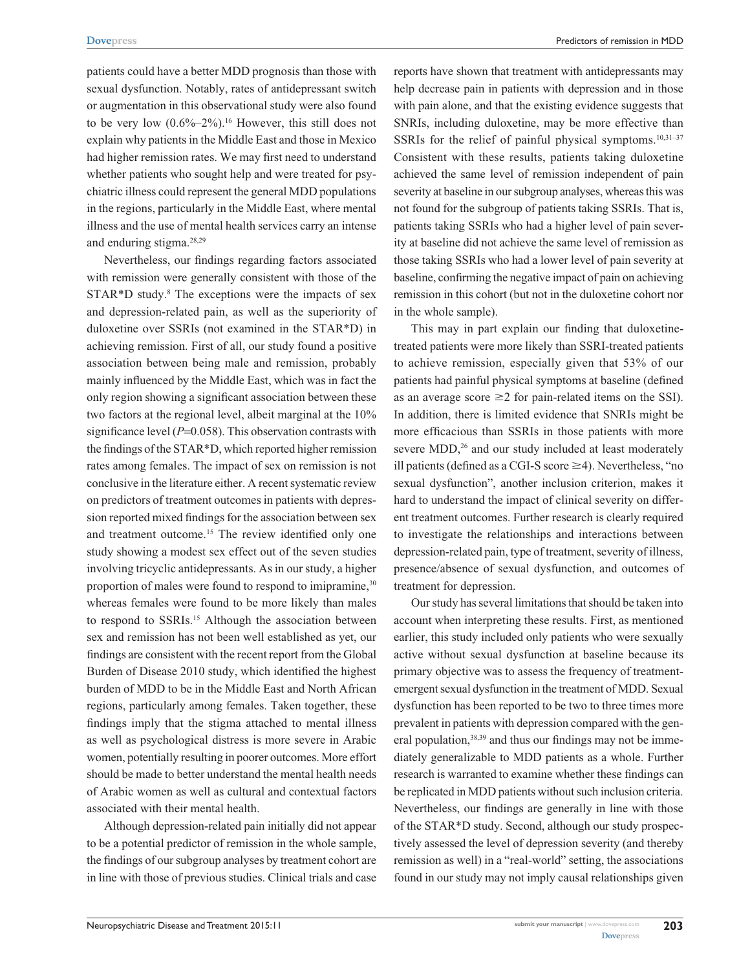patients could have a better MDD prognosis than those with sexual dysfunction. Notably, rates of antidepressant switch or augmentation in this observational study were also found to be very low  $(0.6\% - 2\%)$ .<sup>16</sup> However, this still does not explain why patients in the Middle East and those in Mexico had higher remission rates. We may first need to understand whether patients who sought help and were treated for psychiatric illness could represent the general MDD populations in the regions, particularly in the Middle East, where mental illness and the use of mental health services carry an intense and enduring stigma.28,29

Nevertheless, our findings regarding factors associated with remission were generally consistent with those of the STAR\*D study.<sup>8</sup> The exceptions were the impacts of sex and depression-related pain, as well as the superiority of duloxetine over SSRIs (not examined in the STAR\*D) in achieving remission. First of all, our study found a positive association between being male and remission, probably mainly influenced by the Middle East, which was in fact the only region showing a significant association between these two factors at the regional level, albeit marginal at the 10% significance level ( $P=0.058$ ). This observation contrasts with the findings of the STAR\*D, which reported higher remission rates among females. The impact of sex on remission is not conclusive in the literature either. A recent systematic review on predictors of treatment outcomes in patients with depression reported mixed findings for the association between sex and treatment outcome.<sup>15</sup> The review identified only one study showing a modest sex effect out of the seven studies involving tricyclic antidepressants. As in our study, a higher proportion of males were found to respond to imipramine,<sup>30</sup> whereas females were found to be more likely than males to respond to SSRIs.<sup>15</sup> Although the association between sex and remission has not been well established as yet, our findings are consistent with the recent report from the Global Burden of Disease 2010 study, which identified the highest burden of MDD to be in the Middle East and North African regions, particularly among females. Taken together, these findings imply that the stigma attached to mental illness as well as psychological distress is more severe in Arabic women, potentially resulting in poorer outcomes. More effort should be made to better understand the mental health needs of Arabic women as well as cultural and contextual factors associated with their mental health.

Although depression-related pain initially did not appear to be a potential predictor of remission in the whole sample, the findings of our subgroup analyses by treatment cohort are in line with those of previous studies. Clinical trials and case reports have shown that treatment with antidepressants may help decrease pain in patients with depression and in those with pain alone, and that the existing evidence suggests that SNRIs, including duloxetine, may be more effective than SSRIs for the relief of painful physical symptoms.<sup>10,31-37</sup> Consistent with these results, patients taking duloxetine achieved the same level of remission independent of pain severity at baseline in our subgroup analyses, whereas this was not found for the subgroup of patients taking SSRIs. That is, patients taking SSRIs who had a higher level of pain severity at baseline did not achieve the same level of remission as those taking SSRIs who had a lower level of pain severity at baseline, confirming the negative impact of pain on achieving remission in this cohort (but not in the duloxetine cohort nor in the whole sample).

This may in part explain our finding that duloxetinetreated patients were more likely than SSRI-treated patients to achieve remission, especially given that 53% of our patients had painful physical symptoms at baseline (defined as an average score  $\geq$  2 for pain-related items on the SSI). In addition, there is limited evidence that SNRIs might be more efficacious than SSRIs in those patients with more severe MDD,<sup>26</sup> and our study included at least moderately ill patients (defined as a CGI-S score  $\geq$ 4). Nevertheless, "no sexual dysfunction", another inclusion criterion, makes it hard to understand the impact of clinical severity on different treatment outcomes. Further research is clearly required to investigate the relationships and interactions between depression-related pain, type of treatment, severity of illness, presence/absence of sexual dysfunction, and outcomes of treatment for depression.

Our study has several limitations that should be taken into account when interpreting these results. First, as mentioned earlier, this study included only patients who were sexually active without sexual dysfunction at baseline because its primary objective was to assess the frequency of treatmentemergent sexual dysfunction in the treatment of MDD. Sexual dysfunction has been reported to be two to three times more prevalent in patients with depression compared with the general population,<sup>38,39</sup> and thus our findings may not be immediately generalizable to MDD patients as a whole. Further research is warranted to examine whether these findings can be replicated in MDD patients without such inclusion criteria. Nevertheless, our findings are generally in line with those of the STAR\*D study. Second, although our study prospectively assessed the level of depression severity (and thereby remission as well) in a "real-world" setting, the associations found in our study may not imply causal relationships given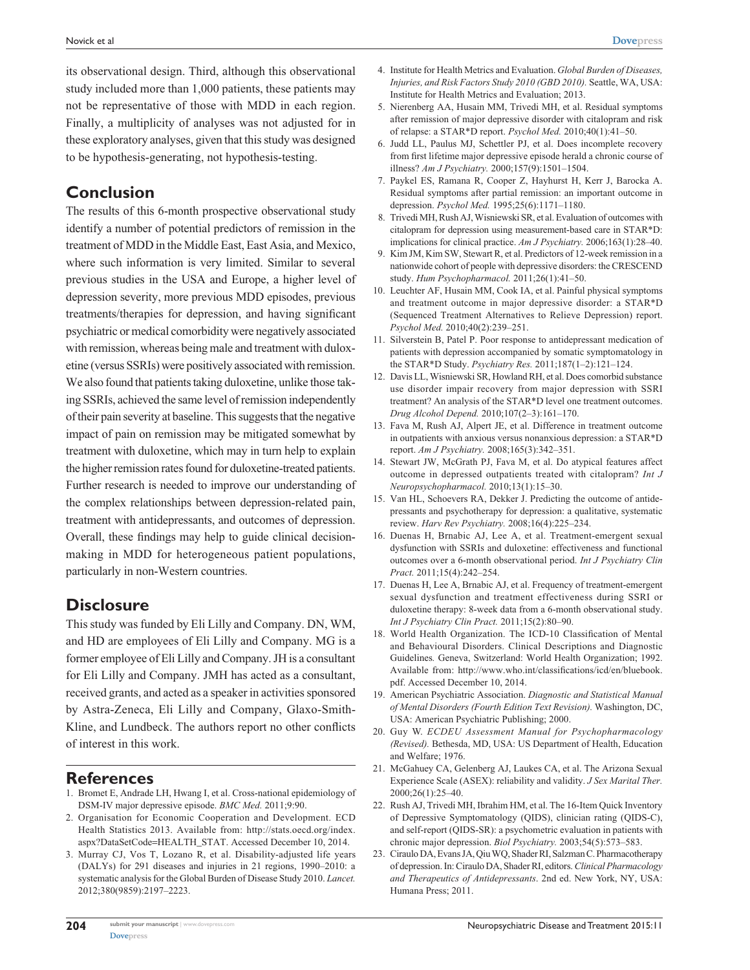its observational design. Third, although this observational study included more than 1,000 patients, these patients may not be representative of those with MDD in each region. Finally, a multiplicity of analyses was not adjusted for in these exploratory analyses, given that this study was designed to be hypothesis-generating, not hypothesis-testing.

# **Conclusion**

The results of this 6-month prospective observational study identify a number of potential predictors of remission in the treatment of MDD in the Middle East, East Asia, and Mexico, where such information is very limited. Similar to several previous studies in the USA and Europe, a higher level of depression severity, more previous MDD episodes, previous treatments/therapies for depression, and having significant psychiatric or medical comorbidity were negatively associated with remission, whereas being male and treatment with duloxetine (versus SSRIs) were positively associated with remission. We also found that patients taking duloxetine, unlike those taking SSRIs, achieved the same level of remission independently of their pain severity at baseline. This suggests that the negative impact of pain on remission may be mitigated somewhat by treatment with duloxetine, which may in turn help to explain the higher remission rates found for duloxetine-treated patients. Further research is needed to improve our understanding of the complex relationships between depression-related pain, treatment with antidepressants, and outcomes of depression. Overall, these findings may help to guide clinical decisionmaking in MDD for heterogeneous patient populations, particularly in non-Western countries.

# **Disclosure**

This study was funded by Eli Lilly and Company. DN, WM, and HD are employees of Eli Lilly and Company. MG is a former employee of Eli Lilly and Company. JH is a consultant for Eli Lilly and Company. JMH has acted as a consultant, received grants, and acted as a speaker in activities sponsored by Astra-Zeneca, Eli Lilly and Company, Glaxo-Smith-Kline, and Lundbeck. The authors report no other conflicts of interest in this work.

#### **References**

- 1. Bromet E, Andrade LH, Hwang I, et al. Cross-national epidemiology of DSM-IV major depressive episode. *BMC Med.* 2011;9:90.
- 2. Organisation for Economic Cooperation and Development. ECD Health Statistics 2013. Available from: [http://stats.oecd.org/index.](http://stats.oecd.org/index.aspx?DataSetCode=HEALTH_STAT) [aspx?DataSetCode](http://stats.oecd.org/index.aspx?DataSetCode=HEALTH_STAT)=HEALTH\_STAT. Accessed December 10, 2014.
- 3. Murray CJ, Vos T, Lozano R, et al. Disability-adjusted life years (DALYs) for 291 diseases and injuries in 21 regions, 1990–2010: a systematic analysis for the Global Burden of Disease Study 2010. *Lancet.*  2012;380(9859):2197–2223.
- 4. Institute for Health Metrics and Evaluation. *Global Burden of Diseases, Injuries, and Risk Factors Study 2010 (GBD 2010).* Seattle, WA, USA: Institute for Health Metrics and Evaluation; 2013.
- 5. Nierenberg AA, Husain MM, Trivedi MH, et al. Residual symptoms after remission of major depressive disorder with citalopram and risk of relapse: a STAR\*D report. *Psychol Med.* 2010;40(1):41–50.
- 6. Judd LL, Paulus MJ, Schettler PJ, et al. Does incomplete recovery from first lifetime major depressive episode herald a chronic course of illness? *Am J Psychiatry.* 2000;157(9):1501–1504.
- 7. Paykel ES, Ramana R, Cooper Z, Hayhurst H, Kerr J, Barocka A. Residual symptoms after partial remission: an important outcome in depression. *Psychol Med.* 1995;25(6):1171–1180.
- 8. Trivedi MH, Rush AJ, Wisniewski SR, et al. Evaluation of outcomes with citalopram for depression using measurement-based care in STAR\*D: implications for clinical practice. *Am J Psychiatry.* 2006;163(1):28–40.
- 9. Kim JM, Kim SW, Stewart R, et al. Predictors of 12-week remission in a nationwide cohort of people with depressive disorders: the CRESCEND study. *Hum Psychopharmacol.* 2011;26(1):41–50.
- 10. Leuchter AF, Husain MM, Cook IA, et al. Painful physical symptoms and treatment outcome in major depressive disorder: a STAR\*D (Sequenced Treatment Alternatives to Relieve Depression) report. *Psychol Med.* 2010;40(2):239–251.
- 11. Silverstein B, Patel P. Poor response to antidepressant medication of patients with depression accompanied by somatic symptomatology in the STAR\*D Study. *Psychiatry Res.* 2011;187(1–2):121–124.
- 12. Davis LL, Wisniewski SR, Howland RH, et al. Does comorbid substance use disorder impair recovery from major depression with SSRI treatment? An analysis of the STAR\*D level one treatment outcomes. *Drug Alcohol Depend.* 2010;107(2–3):161–170.
- 13. Fava M, Rush AJ, Alpert JE, et al. Difference in treatment outcome in outpatients with anxious versus nonanxious depression: a STAR\*D report. *Am J Psychiatry.* 2008;165(3):342–351.
- 14. Stewart JW, McGrath PJ, Fava M, et al. Do atypical features affect outcome in depressed outpatients treated with citalopram? *Int J Neuropsychopharmacol.* 2010;13(1):15–30.
- 15. Van HL, Schoevers RA, Dekker J. Predicting the outcome of antidepressants and psychotherapy for depression: a qualitative, systematic review. *Harv Rev Psychiatry.* 2008;16(4):225–234.
- 16. Duenas H, Brnabic AJ, Lee A, et al. Treatment-emergent sexual dysfunction with SSRIs and duloxetine: effectiveness and functional outcomes over a 6-month observational period. *Int J Psychiatry Clin Pract.* 2011;15(4):242–254.
- 17. Duenas H, Lee A, Brnabic AJ, et al. Frequency of treatment-emergent sexual dysfunction and treatment effectiveness during SSRI or duloxetine therapy: 8-week data from a 6-month observational study. *Int J Psychiatry Clin Pract.* 2011;15(2):80–90.
- 18. World Health Organization. The ICD-10 Classification of Mental and Behavioural Disorders. Clinical Descriptions and Diagnostic Guidelines*.* Geneva, Switzerland: World Health Organization; 1992. Available from: [http://www.who.int/classifications/icd/en/bluebook.](http://www.who.int/classifications/icd/en/bluebook.pdf) [pdf](http://www.who.int/classifications/icd/en/bluebook.pdf). Accessed December 10, 2014.
- 19. American Psychiatric Association. *Diagnostic and Statistical Manual of Mental Disorders (Fourth Edition Text Revision).* Washington, DC, USA: American Psychiatric Publishing; 2000.
- 20. Guy W. *ECDEU Assessment Manual for Psychopharmacology (Revised).* Bethesda, MD, USA: US Department of Health, Education and Welfare; 1976.
- 21. McGahuey CA, Gelenberg AJ, Laukes CA, et al. The Arizona Sexual Experience Scale (ASEX): reliability and validity. *J Sex Marital Ther.*  2000;26(1):25–40.
- 22. Rush AJ, Trivedi MH, Ibrahim HM, et al. The 16-Item Quick Inventory of Depressive Symptomatology (QIDS), clinician rating (QIDS-C), and self-report (QIDS-SR): a psychometric evaluation in patients with chronic major depression. *Biol Psychiatry.* 2003;54(5):573–583.
- 23. Ciraulo DA, Evans JA, Qiu WQ, Shader RI, Salzman C. Pharmacotherapy of depression. In: Ciraulo DA, Shader RI, editors. *Clinical Pharmacology and Therapeutics of Antidepressants*. 2nd ed. New York, NY, USA: Humana Press; 2011.